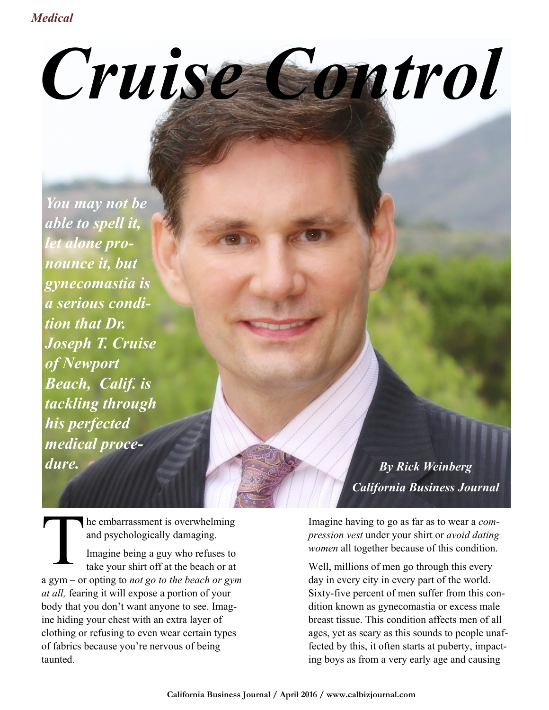## *Cruise Control*

*You may not be able to spell it, let alone pronounce it, but gynecomastia is a serious condition that Dr. Joseph T. Cruise of Newport Beach, Calif. is tackling through his perfected medical procedure. By Rick Weinberg*

T he embarrassment is overwhelming and psychologically damaging. Imagine being a guy who refuses to take your shirt off at the beach or at a gym – or opting to *not go to the beach or gym at all,* fearing it will expose a portion of your body that you don't want anyone to see. Imagine hiding your chest with an extra layer of clothing or refusing to even wear certain types of fabrics because you're nervous of being taunted.

*California Business Journal*

Imagine having to go as far as to wear a *compression vest* under your shirt or *avoid dating women* all together because of this condition.

Well, millions of men go through this every day in every city in every part of the world. Sixty-five percent of men suffer from this condition known as gynecomastia or excess male breast tissue. This condition affects men of all ages, yet as scary as this sounds to people unaffected by this, it often starts at puberty, impacting boys as from a very early age and causing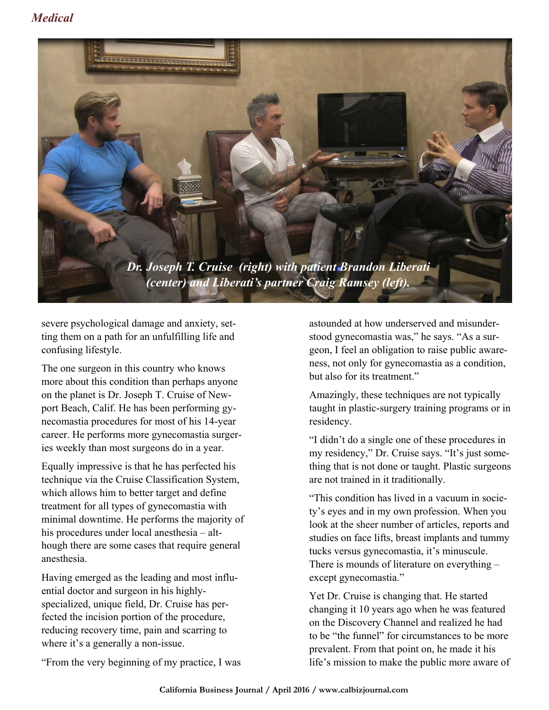

severe psychological damage and anxiety, setting them on a path for an unfulfilling life and confusing lifestyle.

The one surgeon in this country who knows more about this condition than perhaps anyone on the planet is Dr. Joseph T. Cruise of Newport Beach, Calif. He has been performing gynecomastia procedures for most of his 14-year career. He performs more gynecomastia surgeries weekly than most surgeons do in a year.

Equally impressive is that he has perfected his technique via the Cruise Classification System, which allows him to better target and define treatment for all types of gynecomastia with minimal downtime. He performs the majority of his procedures under local anesthesia – although there are some cases that require general anesthesia.

Having emerged as the leading and most influential doctor and surgeon in his highlyspecialized, unique field, Dr. Cruise has perfected the incision portion of the procedure, reducing recovery time, pain and scarring to where it's a generally a non-issue.

"From the very beginning of my practice, I was

astounded at how underserved and misunderstood gynecomastia was," he says. "As a surgeon, I feel an obligation to raise public awareness, not only for gynecomastia as a condition, but also for its treatment."

Amazingly, these techniques are not typically taught in plastic-surgery training programs or in residency.

"I didn't do a single one of these procedures in my residency," Dr. Cruise says. "It's just something that is not done or taught. Plastic surgeons are not trained in it traditionally.

"This condition has lived in a vacuum in society's eyes and in my own profession. When you look at the sheer number of articles, reports and studies on face lifts, breast implants and tummy tucks versus gynecomastia, it's minuscule. There is mounds of literature on everything – except gynecomastia."

Yet Dr. Cruise is changing that. He started changing it 10 years ago when he was featured on the Discovery Channel and realized he had to be "the funnel" for circumstances to be more prevalent. From that point on, he made it his life's mission to make the public more aware of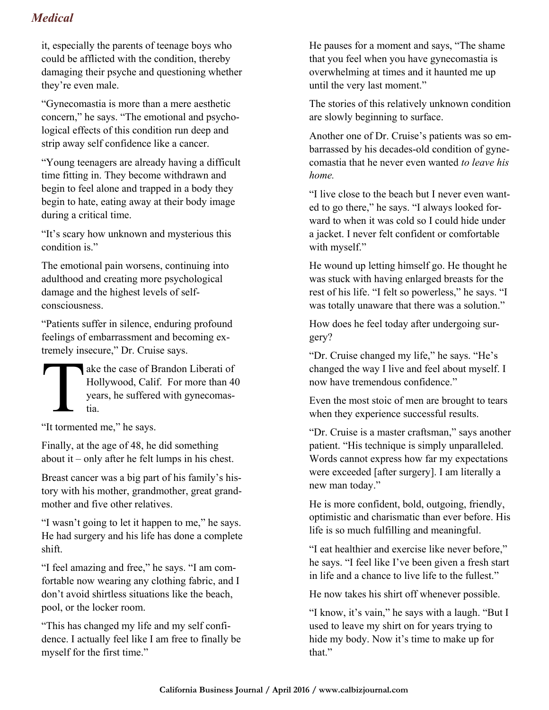## *Medical*

it, especially the parents of teenage boys who could be afflicted with the condition, thereby damaging their psyche and questioning whether they're even male.

"Gynecomastia is more than a mere aesthetic concern," he says. "The emotional and psychological effects of this condition run deep and strip away self confidence like a cancer.

"Young teenagers are already having a difficult time fitting in. They become withdrawn and begin to feel alone and trapped in a body they begin to hate, eating away at their body image during a critical time.

"It's scary how unknown and mysterious this condition is."

The emotional pain worsens, continuing into adulthood and creating more psychological damage and the highest levels of selfconsciousness.

"Patients suffer in silence, enduring profound feelings of embarrassment and becoming extremely insecure," Dr. Cruise says.

T ake the case of Brandon Liberati of Hollywood, Calif. For more than 40 years, he suffered with gynecomastia.

"It tormented me," he says.

Finally, at the age of 48, he did something about it – only after he felt lumps in his chest.

Breast cancer was a big part of his family's history with his mother, grandmother, great grandmother and five other relatives.

"I wasn't going to let it happen to me," he says. He had surgery and his life has done a complete shift.

"I feel amazing and free," he says. "I am comfortable now wearing any clothing fabric, and I don't avoid shirtless situations like the beach, pool, or the locker room.

"This has changed my life and my self confidence. I actually feel like I am free to finally be myself for the first time."

He pauses for a moment and says, "The shame that you feel when you have gynecomastia is overwhelming at times and it haunted me up until the very last moment."

The stories of this relatively unknown condition are slowly beginning to surface.

Another one of Dr. Cruise's patients was so embarrassed by his decades-old condition of gynecomastia that he never even wanted *to leave his home.*

"I live close to the beach but I never even wanted to go there," he says. "I always looked forward to when it was cold so I could hide under a jacket. I never felt confident or comfortable with myself."

He wound up letting himself go. He thought he was stuck with having enlarged breasts for the rest of his life. "I felt so powerless," he says. "I was totally unaware that there was a solution."

How does he feel today after undergoing surgery?

"Dr. Cruise changed my life," he says. "He's changed the way I live and feel about myself. I now have tremendous confidence."

Even the most stoic of men are brought to tears when they experience successful results.

"Dr. Cruise is a master craftsman," says another patient. "His technique is simply unparalleled. Words cannot express how far my expectations were exceeded [after surgery]. I am literally a new man today."

He is more confident, bold, outgoing, friendly, optimistic and charismatic than ever before. His life is so much fulfilling and meaningful.

"I eat healthier and exercise like never before," he says. "I feel like I've been given a fresh start in life and a chance to live life to the fullest."

He now takes his shirt off whenever possible.

"I know, it's vain," he says with a laugh. "But I used to leave my shirt on for years trying to hide my body. Now it's time to make up for that."